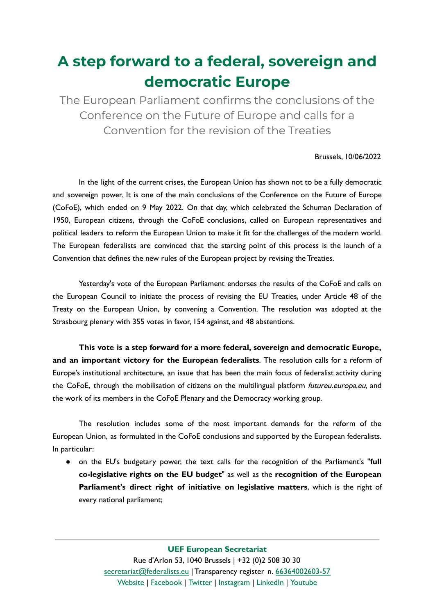## **A step forward to a federal, sovereign and democratic Europe**

The European Parliament confirms the conclusions of the Conference on the Future of Europe and calls for a Convention for the revision of the Treaties

## Brussels, 10/06/2022

In the light of the current crises, the European Union has shown not to be a fully democratic and sovereign power. It is one of the main conclusions of the Conference on the Future of Europe (CoFoE), which ended on 9 May 2022. On that day, which celebrated the Schuman Declaration of 1950, European citizens, through the CoFoE conclusions, called on European representatives and political leaders to reform the European Union to make it fit for the challenges of the modern world. The European federalists are convinced that the starting point of this process is the launch of a Convention that defines the new rules of the European project by revising the Treaties.

Yesterday's vote of the European Parliament endorses the results of the CoFoE and calls on the European Council to initiate the process of revising the EU Treaties, under Article 48 of the Treaty on the European Union, by convening a Convention. The resolution was adopted at the Strasbourg plenary with 355 votes in favor, 154 against, and 48 abstentions.

**This vote is a step forward for a more federal, sovereign and democratic Europe, and an important victory for the European federalists**. The resolution calls for a reform of Europe's institutional architecture, an issue that has been the main focus of federalist activity during the CoFoE, through the mobilisation of citizens on the multilingual platform futureu.europa.eu, and the work of its members in the CoFoE Plenary and the Democracy working group.

The resolution includes some of the most important demands for the reform of the European Union, as formulated in the CoFoE conclusions and supported by the European federalists. In particular:

● on the EU's budgetary power, the text calls for the recognition of the Parliament's "**full co-legislative rights on the EU budget**" as well as the **recognition of the European Parliament's direct right of initiative on legislative matters**, which is the right of every national parliament;